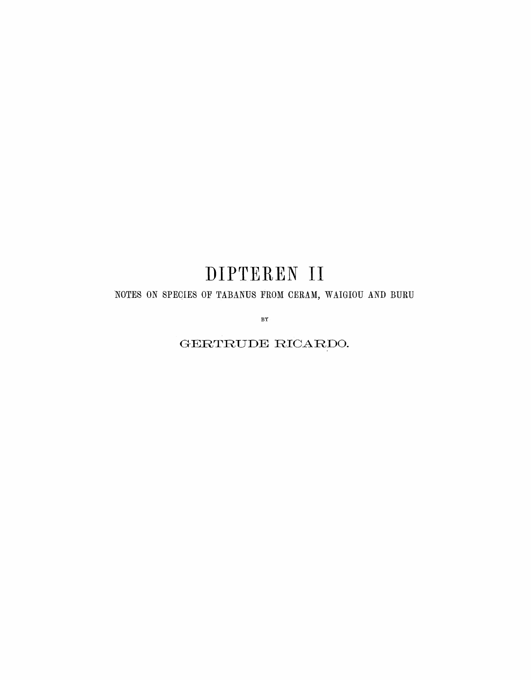# DIPTEREN II

### NOTES ON SPECIES OF TABANUS FROM CERAM, WAIGIOU AND BURU

BY

 $\operatorname{GERTRUE}$ RICARDO.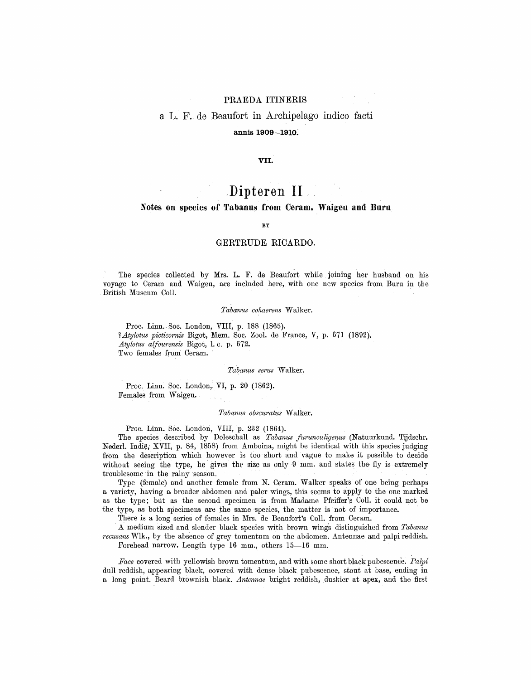### PRAEDA ITINERIS

## aL.F. de Beaufort in Archipelago indico facti

### annis 1909—1910.

### VII.

### Dipteren II

### Notes on species of Tabanus from Ceram, Waigeu and Buru

#### **BY**

### GERTRUDE RICARDO.

The species collected by Mrs. L. F. de Beaufort while joining her husband on his voyage to Ceram and Waigeu, are included here, with one new species from Buru in the British Museum Coll.

#### Tabanus cohaerens Walker.

Proc. Linn. Soc. London, VIII, p. <sup>188</sup> (1865). ? Atylotus picticornis Bigot, Mem. Soc. Zool. de France, V, p. <sup>671</sup> (1892). Atylotus alfourensis Bigot, 1. c. p. 672. Two females from Ceram.

Tabanus serus Walker.

Proc. Linn. Soc. London, VI, p. <sup>20</sup> (1862). Females from Waigeu.

Tabanus obscuratus Walker.

Proc. Linn. Soc. London, VIII, p. 232 (1864).

The species described by Doleschall as Tabanus furunculigenus (Natuurkund. Tijdschr. Nederl. Indië, XVII, p. 84, 1858) from Amboina, might be identical with this species judging from the description which however is too short and vague to make it possible to decide without seeing the type, he gives the size as only 9 mm. and states the fly is extremely troublesome in the rainy season.

Type (female) and another female from N. Ceram. Walker speaks of one being perhaps <sup>a</sup> variety, having a broader abdomen and paler wings, this seems to apply to the one marked as the type; but as the second specimen is from Madame Pfeiffer's Coll. it could not be the type, as both specimens are the same species, the matter is not of importance.

There is <sup>a</sup> long series of females in Mrs. de Beaufort's Coll. from Ceram.

A medium sized and slender black species with brown wings distinguished from Tabanus recusans Wlk., by the absence of grey tomentum on the abdomen. Antennae and palpi reddish. Forehead narrow. Length type <sup>16</sup> mm., others 15—16 mm.

Face covered with yellowish brown tomentum, and with some short black pubescence. Palpi dull reddish, appearing black, covered with dense black pubescence, stout at base, ending in <sup>a</sup> long point. Beard brownish black. Antennae bright reddish, duskier at apex, and the first